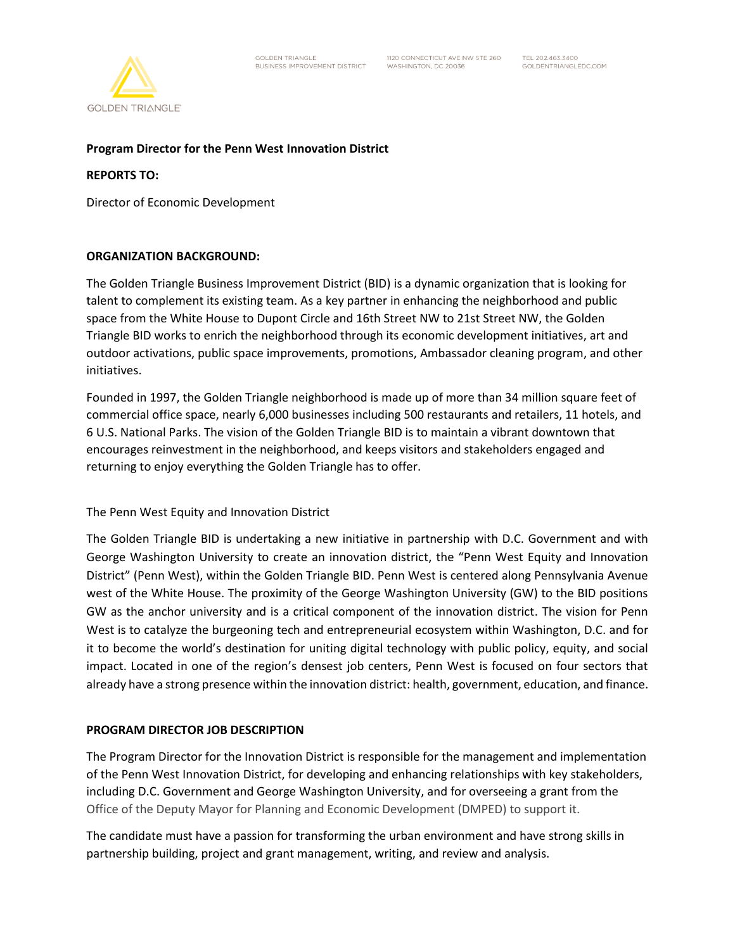

## **Program Director for the Penn West Innovation District**

#### **REPORTS TO:**

Director of Economic Development

### **ORGANIZATION BACKGROUND:**

The Golden Triangle Business Improvement District (BID) is a dynamic organization that is looking for talent to complement its existing team. As a key partner in enhancing the neighborhood and public space from the White House to Dupont Circle and 16th Street NW to 21st Street NW, the Golden Triangle BID works to enrich the neighborhood through its economic development initiatives, art and outdoor activations, public space improvements, promotions, Ambassador cleaning program, and other initiatives.

Founded in 1997, the Golden Triangle neighborhood is made up of more than 34 million square feet of commercial office space, nearly 6,000 businesses including 500 restaurants and retailers, 11 hotels, and 6 U.S. National Parks. The vision of the Golden Triangle BID is to maintain a vibrant downtown that encourages reinvestment in the neighborhood, and keeps visitors and stakeholders engaged and returning to enjoy everything the Golden Triangle has to offer.

The Penn West Equity and Innovation District

The Golden Triangle BID is undertaking a new initiative in partnership with D.C. Government and with George Washington University to create an innovation district, the "Penn West Equity and Innovation District" (Penn West), within the Golden Triangle BID. Penn West is centered along Pennsylvania Avenue west of the White House. The proximity of the George Washington University (GW) to the BID positions GW as the anchor university and is a critical component of the innovation district. The vision for Penn West is to catalyze the burgeoning tech and entrepreneurial ecosystem within Washington, D.C. and for it to become the world's destination for uniting digital technology with public policy, equity, and social impact. Located in one of the region's densest job centers, Penn West is focused on four sectors that already have a strong presence within the innovation district: health, government, education, and finance.

### **PROGRAM DIRECTOR JOB DESCRIPTION**

The Program Director for the Innovation District is responsible for the management and implementation of the Penn West Innovation District, for developing and enhancing relationships with key stakeholders, including D.C. Government and George Washington University, and for overseeing a grant from the Office of the Deputy Mayor for Planning and Economic Development (DMPED) to support it.

The candidate must have a passion for transforming the urban environment and have strong skills in partnership building, project and grant management, writing, and review and analysis.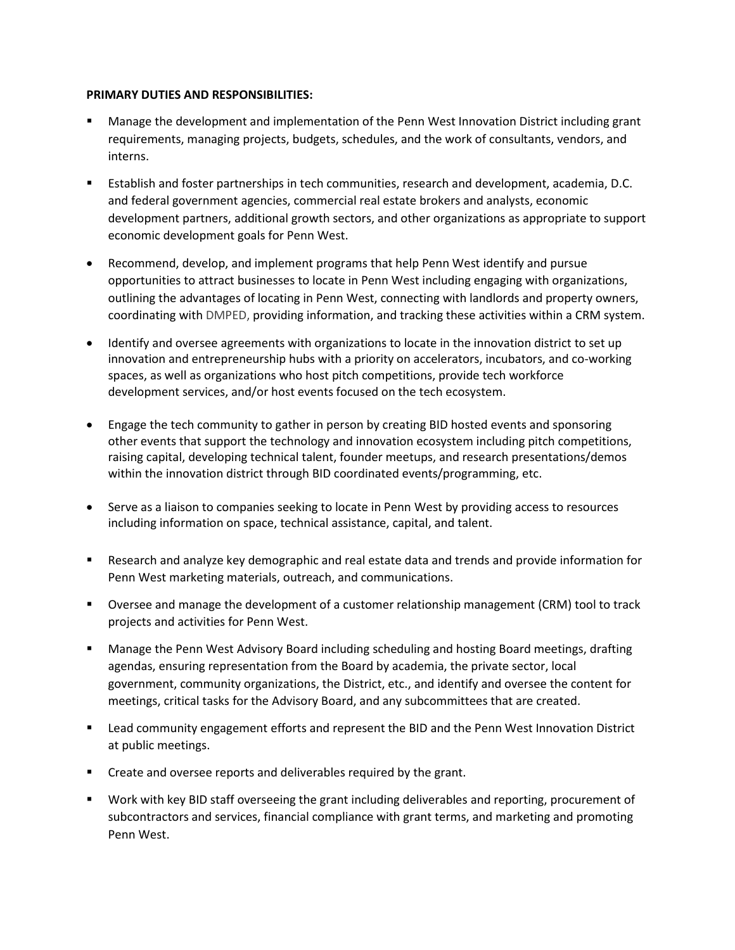## **PRIMARY DUTIES AND RESPONSIBILITIES:**

- Manage the development and implementation of the Penn West Innovation District including grant requirements, managing projects, budgets, schedules, and the work of consultants, vendors, and interns.
- Establish and foster partnerships in tech communities, research and development, academia, D.C. and federal government agencies, commercial real estate brokers and analysts, economic development partners, additional growth sectors, and other organizations as appropriate to support economic development goals for Penn West.
- Recommend, develop, and implement programs that help Penn West identify and pursue opportunities to attract businesses to locate in Penn West including engaging with organizations, outlining the advantages of locating in Penn West, connecting with landlords and property owners, coordinating with DMPED, providing information, and tracking these activities within a CRM system.
- Identify and oversee agreements with organizations to locate in the innovation district to set up innovation and entrepreneurship hubs with a priority on accelerators, incubators, and co-working spaces, as well as organizations who host pitch competitions, provide tech workforce development services, and/or host events focused on the tech ecosystem.
- Engage the tech community to gather in person by creating BID hosted events and sponsoring other events that support the technology and innovation ecosystem including pitch competitions, raising capital, developing technical talent, founder meetups, and research presentations/demos within the innovation district through BID coordinated events/programming, etc.
- Serve as a liaison to companies seeking to locate in Penn West by providing access to resources including information on space, technical assistance, capital, and talent.
- Research and analyze key demographic and real estate data and trends and provide information for Penn West marketing materials, outreach, and communications.
- Oversee and manage the development of a customer relationship management (CRM) tool to track projects and activities for Penn West.
- Manage the Penn West Advisory Board including scheduling and hosting Board meetings, drafting agendas, ensuring representation from the Board by academia, the private sector, local government, community organizations, the District, etc., and identify and oversee the content for meetings, critical tasks for the Advisory Board, and any subcommittees that are created.
- Lead community engagement efforts and represent the BID and the Penn West Innovation District at public meetings.
- Create and oversee reports and deliverables required by the grant.
- Work with key BID staff overseeing the grant including deliverables and reporting, procurement of subcontractors and services, financial compliance with grant terms, and marketing and promoting Penn West.